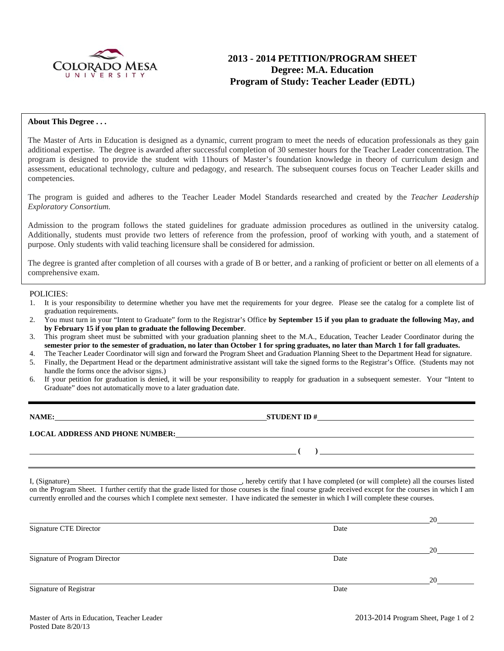

# **2013 - 2014 PETITION/PROGRAM SHEET Degree: M.A. Education Program of Study: Teacher Leader (EDTL)**

### **About This Degree . . .**

The Master of Arts in Education is designed as a dynamic, current program to meet the needs of education professionals as they gain additional expertise. The degree is awarded after successful completion of 30 semester hours for the Teacher Leader concentration. The program is designed to provide the student with 11hours of Master's foundation knowledge in theory of curriculum design and assessment, educational technology, culture and pedagogy, and research. The subsequent courses focus on Teacher Leader skills and competencies.

The program is guided and adheres to the Teacher Leader Model Standards researched and created by the *Teacher Leadership Exploratory Consortium.* 

Admission to the program follows the stated guidelines for graduate admission procedures as outlined in the university catalog. Additionally, students must provide two letters of reference from the profession, proof of working with youth, and a statement of purpose. Only students with valid teaching licensure shall be considered for admission.

The degree is granted after completion of all courses with a grade of B or better, and a ranking of proficient or better on all elements of a comprehensive exam.

#### POLICIES:

- 1. It is your responsibility to determine whether you have met the requirements for your degree. Please see the catalog for a complete list of graduation requirements.
- 2. You must turn in your "Intent to Graduate" form to the Registrar's Office **by September 15 if you plan to graduate the following May, and by February 15 if you plan to graduate the following December**.
- 3. This program sheet must be submitted with your graduation planning sheet to the M.A., Education, Teacher Leader Coordinator during the **semester prior to the semester of graduation, no later than October 1 for spring graduates, no later than March 1 for fall graduates.**
- 4. The Teacher Leader Coordinator will sign and forward the Program Sheet and Graduation Planning Sheet to the Department Head for signature.
- 5. Finally, the Department Head or the department administrative assistant will take the signed forms to the Registrar's Office. (Students may not handle the forms once the advisor signs.)
- 6. If your petition for graduation is denied, it will be your responsibility to reapply for graduation in a subsequent semester. Your "Intent to Graduate" does not automatically move to a later graduation date.

**NAME: STUDENT ID # LOCAL ADDRESS AND PHONE NUMBER: ( )** 

I, (Signature) , hereby certify that I have completed (or will complete) all the courses listed on the Program Sheet. I further certify that the grade listed for those courses is the final course grade received except for the courses in which I am currently enrolled and the courses which I complete next semester. I have indicated the semester in which I will complete these courses.

|                               |      | 20           |
|-------------------------------|------|--------------|
| <b>Signature CTE Director</b> | Date |              |
|                               |      |              |
|                               |      | 20           |
| Signature of Program Director | Date |              |
|                               |      |              |
|                               |      | $20^{\circ}$ |
| Signature of Registrar        | Date |              |